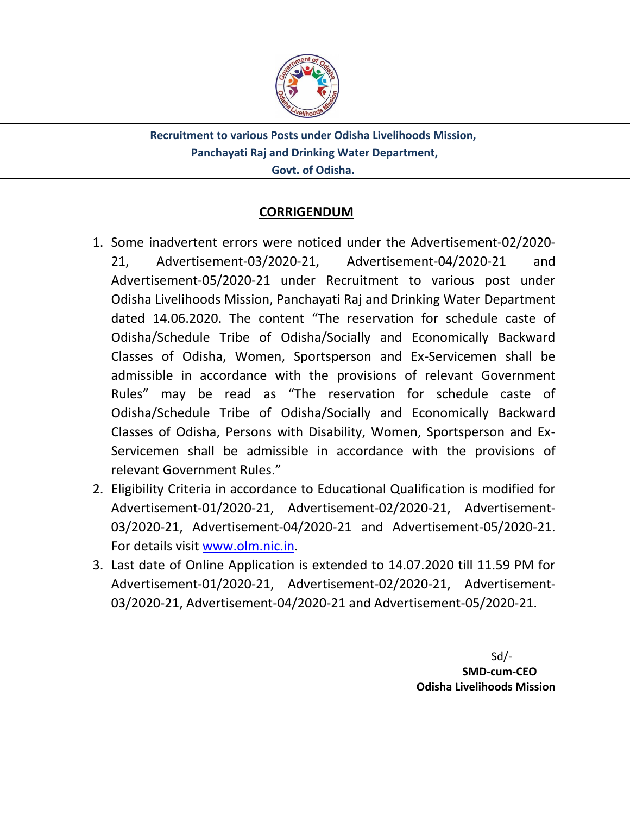

**Recruitment to various Posts under Odisha Livelihoods Mission, Panchayati Raj and Drinking Water Department, Govt. of Odisha.**

### **CORRIGENDUM**

- 1. Some inadvertent errors were noticed under the Advertisement-02/2020- 21, Advertisement-03/2020-21, Advertisement-04/2020-21 and Advertisement-05/2020-21 under Recruitment to various post under Odisha Livelihoods Mission, Panchayati Raj and Drinking Water Department dated 14.06.2020. The content "The reservation for schedule caste of Odisha/Schedule Tribe of Odisha/Socially and Economically Backward Classes of Odisha, Women, Sportsperson and Ex-Servicemen shall be admissible in accordance with the provisions of relevant Government Rules" may be read as "The reservation for schedule caste of Odisha/Schedule Tribe of Odisha/Socially and Economically Backward Classes of Odisha, Persons with Disability, Women, Sportsperson and Ex-Servicemen shall be admissible in accordance with the provisions of relevant Government Rules."
- 2. Eligibility Criteria in accordance to Educational Qualification is modified for Advertisement-01/2020-21, Advertisement-02/2020-21, Advertisement-03/2020-21, Advertisement-04/2020-21 and Advertisement-05/2020-21. For details visit [www.olm.nic.in.](http://www.olm.nic.in/)
- 3. Last date of Online Application is extended to 14.07.2020 till 11.59 PM for Advertisement-01/2020-21, Advertisement-02/2020-21, Advertisement-03/2020-21, Advertisement-04/2020-21 and Advertisement-05/2020-21.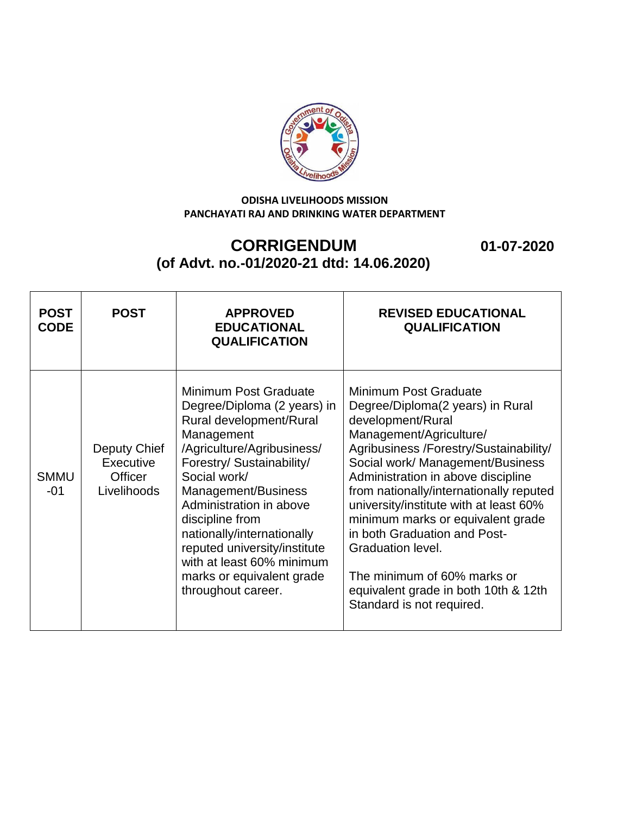

┯

# **CORRIGENDUM 01-07-2020 (of Advt. no.-01/2020-21 dtd: 14.06.2020)**

┬

┯

| <b>POST</b><br><b>CODE</b> | <b>POST</b>                                                | <b>APPROVED</b><br><b>EDUCATIONAL</b><br><b>QUALIFICATION</b>                                                                                                                                                                                                                                                                                                                               | <b>REVISED EDUCATIONAL</b><br><b>QUALIFICATION</b>                                                                                                                                                                                                                                                                                                                                                                                                                                                               |
|----------------------------|------------------------------------------------------------|---------------------------------------------------------------------------------------------------------------------------------------------------------------------------------------------------------------------------------------------------------------------------------------------------------------------------------------------------------------------------------------------|------------------------------------------------------------------------------------------------------------------------------------------------------------------------------------------------------------------------------------------------------------------------------------------------------------------------------------------------------------------------------------------------------------------------------------------------------------------------------------------------------------------|
| <b>SMMU</b><br>$-01$       | Deputy Chief<br>Executive<br><b>Officer</b><br>Livelihoods | Minimum Post Graduate<br>Degree/Diploma (2 years) in<br>Rural development/Rural<br>Management<br>/Agriculture/Agribusiness/<br>Forestry/ Sustainability/<br>Social work/<br>Management/Business<br>Administration in above<br>discipline from<br>nationally/internationally<br>reputed university/institute<br>with at least 60% minimum<br>marks or equivalent grade<br>throughout career. | Minimum Post Graduate<br>Degree/Diploma(2 years) in Rural<br>development/Rural<br>Management/Agriculture/<br>Agribusiness /Forestry/Sustainability/<br>Social work/ Management/Business<br>Administration in above discipline<br>from nationally/internationally reputed<br>university/institute with at least 60%<br>minimum marks or equivalent grade<br>in both Graduation and Post-<br>Graduation level.<br>The minimum of 60% marks or<br>equivalent grade in both 10th & 12th<br>Standard is not required. |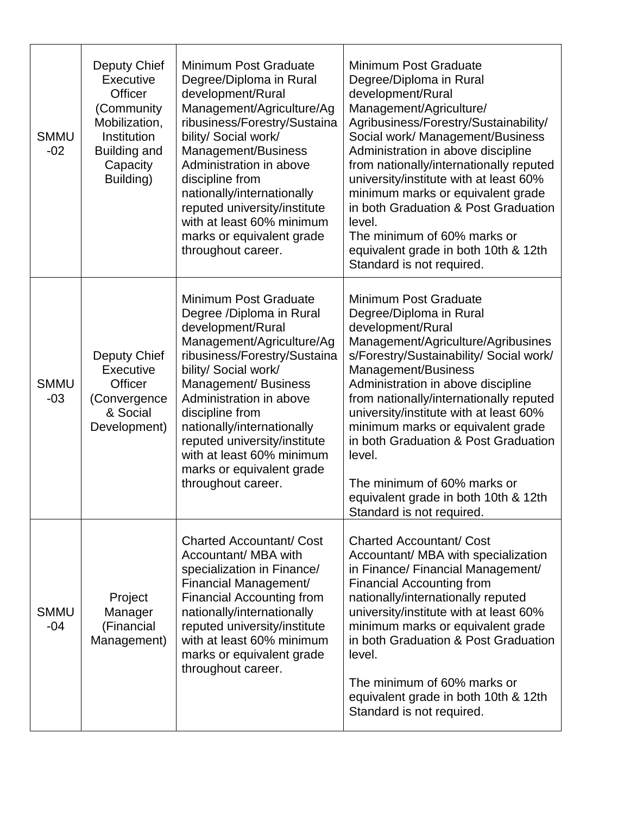| <b>SMMU</b><br>$-02$ | Deputy Chief<br>Executive<br>Officer<br>(Community<br>Mobilization,<br>Institution<br>Building and<br>Capacity<br>Building) | Minimum Post Graduate<br>Degree/Diploma in Rural<br>development/Rural<br>Management/Agriculture/Ag<br>ribusiness/Forestry/Sustaina<br>bility/ Social work/<br>Management/Business<br>Administration in above<br>discipline from<br>nationally/internationally<br>reputed university/institute<br>with at least 60% minimum<br>marks or equivalent grade<br>throughout career.   | Minimum Post Graduate<br>Degree/Diploma in Rural<br>development/Rural<br>Management/Agriculture/<br>Agribusiness/Forestry/Sustainability/<br>Social work/ Management/Business<br>Administration in above discipline<br>from nationally/internationally reputed<br>university/institute with at least 60%<br>minimum marks or equivalent grade<br>in both Graduation & Post Graduation<br>level.<br>The minimum of 60% marks or<br>equivalent grade in both 10th & 12th<br>Standard is not required. |
|----------------------|-----------------------------------------------------------------------------------------------------------------------------|---------------------------------------------------------------------------------------------------------------------------------------------------------------------------------------------------------------------------------------------------------------------------------------------------------------------------------------------------------------------------------|-----------------------------------------------------------------------------------------------------------------------------------------------------------------------------------------------------------------------------------------------------------------------------------------------------------------------------------------------------------------------------------------------------------------------------------------------------------------------------------------------------|
| <b>SMMU</b><br>$-03$ | Deputy Chief<br>Executive<br>Officer<br>(Convergence<br>& Social<br>Development)                                            | Minimum Post Graduate<br>Degree /Diploma in Rural<br>development/Rural<br>Management/Agriculture/Ag<br>ribusiness/Forestry/Sustaina<br>bility/ Social work/<br>Management/ Business<br>Administration in above<br>discipline from<br>nationally/internationally<br>reputed university/institute<br>with at least 60% minimum<br>marks or equivalent grade<br>throughout career. | Minimum Post Graduate<br>Degree/Diploma in Rural<br>development/Rural<br>Management/Agriculture/Agribusines<br>s/Forestry/Sustainability/ Social work/<br>Management/Business<br>Administration in above discipline<br>from nationally/internationally reputed<br>university/institute with at least 60%<br>minimum marks or equivalent grade<br>in both Graduation & Post Graduation<br>level.<br>The minimum of 60% marks or<br>equivalent grade in both 10th & 12th<br>Standard is not required. |
| <b>SMMU</b><br>$-04$ | Project<br>Manager<br>(Financial<br>Management)                                                                             | <b>Charted Accountant/ Cost</b><br>Accountant/ MBA with<br>specialization in Finance/<br>Financial Management/<br><b>Financial Accounting from</b><br>nationally/internationally<br>reputed university/institute<br>with at least 60% minimum<br>marks or equivalent grade<br>throughout career.                                                                                | <b>Charted Accountant/ Cost</b><br>Accountant/ MBA with specialization<br>in Finance/ Financial Management/<br><b>Financial Accounting from</b><br>nationally/internationally reputed<br>university/institute with at least 60%<br>minimum marks or equivalent grade<br>in both Graduation & Post Graduation<br>level.<br>The minimum of 60% marks or<br>equivalent grade in both 10th & 12th<br>Standard is not required.                                                                          |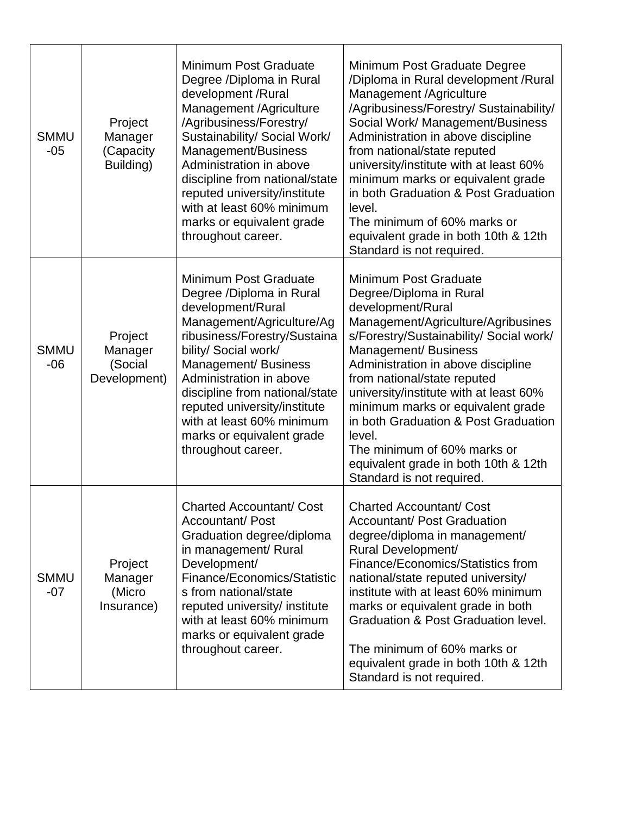| <b>SMMU</b><br>$-05$ | Project<br>Manager<br>(Capacity<br>Building)  | Minimum Post Graduate<br>Degree /Diploma in Rural<br>development /Rural<br>Management /Agriculture<br>/Agribusiness/Forestry/<br>Sustainability/ Social Work/<br>Management/Business<br>Administration in above<br>discipline from national/state<br>reputed university/institute<br>with at least 60% minimum<br>marks or equivalent grade<br>throughout career. | Minimum Post Graduate Degree<br>/Diploma in Rural development / Rural<br>Management /Agriculture<br>/Agribusiness/Forestry/ Sustainability/<br>Social Work/ Management/Business<br>Administration in above discipline<br>from national/state reputed<br>university/institute with at least 60%<br>minimum marks or equivalent grade<br>in both Graduation & Post Graduation<br>level.<br>The minimum of 60% marks or<br>equivalent grade in both 10th & 12th<br>Standard is not required. |
|----------------------|-----------------------------------------------|-------------------------------------------------------------------------------------------------------------------------------------------------------------------------------------------------------------------------------------------------------------------------------------------------------------------------------------------------------------------|-------------------------------------------------------------------------------------------------------------------------------------------------------------------------------------------------------------------------------------------------------------------------------------------------------------------------------------------------------------------------------------------------------------------------------------------------------------------------------------------|
| <b>SMMU</b><br>$-06$ | Project<br>Manager<br>(Social<br>Development) | Minimum Post Graduate<br>Degree /Diploma in Rural<br>development/Rural<br>Management/Agriculture/Ag<br>ribusiness/Forestry/Sustaina<br>bility/ Social work/<br>Management/ Business<br>Administration in above<br>discipline from national/state<br>reputed university/institute<br>with at least 60% minimum<br>marks or equivalent grade<br>throughout career.  | Minimum Post Graduate<br>Degree/Diploma in Rural<br>development/Rural<br>Management/Agriculture/Agribusines<br>s/Forestry/Sustainability/ Social work/<br>Management/ Business<br>Administration in above discipline<br>from national/state reputed<br>university/institute with at least 60%<br>minimum marks or equivalent grade<br>in both Graduation & Post Graduation<br>level.<br>The minimum of 60% marks or<br>equivalent grade in both 10th & 12th<br>Standard is not required.  |
| <b>SMMU</b><br>$-07$ | Project<br>Manager<br>(Micro<br>Insurance)    | <b>Charted Accountant/ Cost</b><br>Accountant/ Post<br>Graduation degree/diploma<br>in management/ Rural<br>Development/<br>Finance/Economics/Statistic<br>s from national/state<br>reputed university/ institute<br>with at least 60% minimum<br>marks or equivalent grade<br>throughout career.                                                                 | <b>Charted Accountant/ Cost</b><br>Accountant/ Post Graduation<br>degree/diploma in management/<br>Rural Development/<br>Finance/Economics/Statistics from<br>national/state reputed university/<br>institute with at least 60% minimum<br>marks or equivalent grade in both<br><b>Graduation &amp; Post Graduation level.</b><br>The minimum of 60% marks or<br>equivalent grade in both 10th & 12th<br>Standard is not required.                                                        |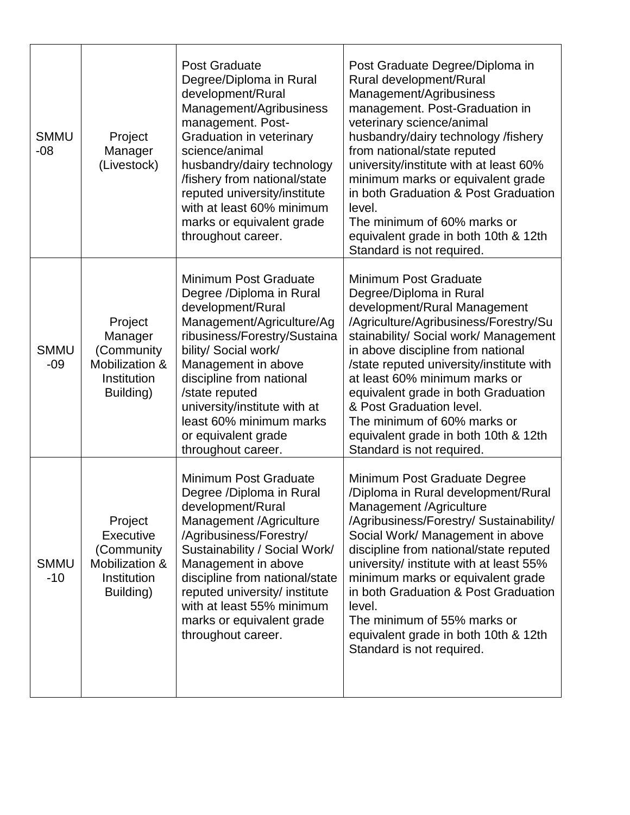| <b>SMMU</b><br>-08   | Project<br>Manager<br>(Livestock)                                                       | <b>Post Graduate</b><br>Degree/Diploma in Rural<br>development/Rural<br>Management/Agribusiness<br>management. Post-<br>Graduation in veterinary<br>science/animal<br>husbandry/dairy technology<br>/fishery from national/state<br>reputed university/institute<br>with at least 60% minimum<br>marks or equivalent grade<br>throughout career. | Post Graduate Degree/Diploma in<br>Rural development/Rural<br>Management/Agribusiness<br>management. Post-Graduation in<br>veterinary science/animal<br>husbandry/dairy technology /fishery<br>from national/state reputed<br>university/institute with at least 60%<br>minimum marks or equivalent grade<br>in both Graduation & Post Graduation<br>level.<br>The minimum of 60% marks or<br>equivalent grade in both 10th & 12th<br>Standard is not required.    |
|----------------------|-----------------------------------------------------------------------------------------|--------------------------------------------------------------------------------------------------------------------------------------------------------------------------------------------------------------------------------------------------------------------------------------------------------------------------------------------------|--------------------------------------------------------------------------------------------------------------------------------------------------------------------------------------------------------------------------------------------------------------------------------------------------------------------------------------------------------------------------------------------------------------------------------------------------------------------|
| <b>SMMU</b><br>$-09$ | Project<br>Manager<br>(Community<br>Mobilization &<br>Institution<br>Building)          | Minimum Post Graduate<br>Degree /Diploma in Rural<br>development/Rural<br>Management/Agriculture/Ag<br>ribusiness/Forestry/Sustaina<br>bility/ Social work/<br>Management in above<br>discipline from national<br>/state reputed<br>university/institute with at<br>least 60% minimum marks<br>or equivalent grade<br>throughout career.         | <b>Minimum Post Graduate</b><br>Degree/Diploma in Rural<br>development/Rural Management<br>/Agriculture/Agribusiness/Forestry/Su<br>stainability/ Social work/ Management<br>in above discipline from national<br>/state reputed university/institute with<br>at least 60% minimum marks or<br>equivalent grade in both Graduation<br>& Post Graduation level.<br>The minimum of 60% marks or<br>equivalent grade in both 10th & 12th<br>Standard is not required. |
| <b>SMMU</b><br>$-10$ | Project<br><b>Executive</b><br>(Community<br>Mobilization &<br>Institution<br>Building) | Minimum Post Graduate<br>Degree /Diploma in Rural<br>development/Rural<br>Management /Agriculture<br>/Agribusiness/Forestry/<br>Sustainability / Social Work/<br>Management in above<br>discipline from national/state<br>reputed university/ institute<br>with at least 55% minimum<br>marks or equivalent grade<br>throughout career.          | Minimum Post Graduate Degree<br>/Diploma in Rural development/Rural<br>Management /Agriculture<br>/Agribusiness/Forestry/ Sustainability/<br>Social Work/ Management in above<br>discipline from national/state reputed<br>university/ institute with at least 55%<br>minimum marks or equivalent grade<br>in both Graduation & Post Graduation<br>level.<br>The minimum of 55% marks or<br>equivalent grade in both 10th & 12th<br>Standard is not required.      |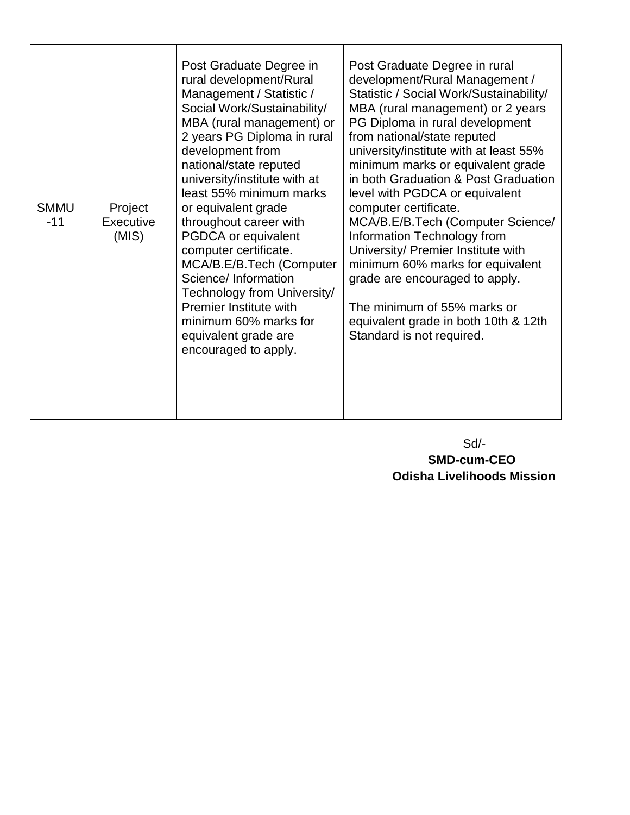| <b>SMMU</b><br>$-11$ | Project<br>Executive<br>(MIS) | Post Graduate Degree in<br>rural development/Rural<br>Management / Statistic /<br>Social Work/Sustainability/<br>MBA (rural management) or<br>2 years PG Diploma in rural<br>development from<br>national/state reputed<br>university/institute with at<br>least 55% minimum marks<br>or equivalent grade<br>throughout career with<br>PGDCA or equivalent<br>computer certificate.<br>MCA/B.E/B.Tech (Computer<br>Science/ Information<br>Technology from University/<br>Premier Institute with<br>minimum 60% marks for<br>equivalent grade are<br>encouraged to apply. | Post Graduate Degree in rural<br>development/Rural Management /<br>Statistic / Social Work/Sustainability/<br>MBA (rural management) or 2 years<br>PG Diploma in rural development<br>from national/state reputed<br>university/institute with at least 55%<br>minimum marks or equivalent grade<br>in both Graduation & Post Graduation<br>level with PGDCA or equivalent<br>computer certificate.<br>MCA/B.E/B.Tech (Computer Science/<br>Information Technology from<br>University/ Premier Institute with<br>minimum 60% marks for equivalent<br>grade are encouraged to apply.<br>The minimum of 55% marks or<br>equivalent grade in both 10th & 12th<br>Standard is not required. |
|----------------------|-------------------------------|---------------------------------------------------------------------------------------------------------------------------------------------------------------------------------------------------------------------------------------------------------------------------------------------------------------------------------------------------------------------------------------------------------------------------------------------------------------------------------------------------------------------------------------------------------------------------|-----------------------------------------------------------------------------------------------------------------------------------------------------------------------------------------------------------------------------------------------------------------------------------------------------------------------------------------------------------------------------------------------------------------------------------------------------------------------------------------------------------------------------------------------------------------------------------------------------------------------------------------------------------------------------------------|
|----------------------|-------------------------------|---------------------------------------------------------------------------------------------------------------------------------------------------------------------------------------------------------------------------------------------------------------------------------------------------------------------------------------------------------------------------------------------------------------------------------------------------------------------------------------------------------------------------------------------------------------------------|-----------------------------------------------------------------------------------------------------------------------------------------------------------------------------------------------------------------------------------------------------------------------------------------------------------------------------------------------------------------------------------------------------------------------------------------------------------------------------------------------------------------------------------------------------------------------------------------------------------------------------------------------------------------------------------------|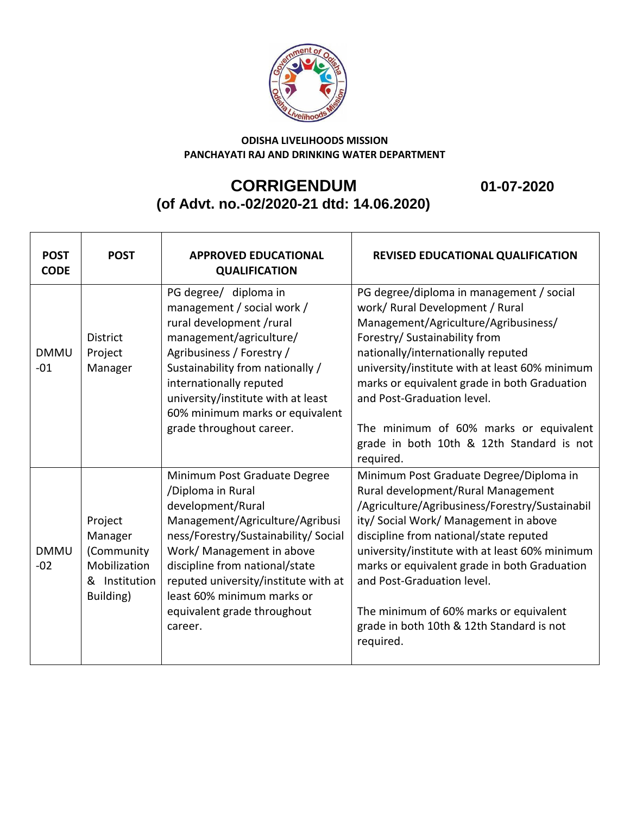

## **CORRIGENDUM 01-07-2020 (of Advt. no.-02/2020-21 dtd: 14.06.2020)**

| <b>POST</b><br><b>CODE</b> | <b>POST</b>                                                                    | <b>APPROVED EDUCATIONAL</b><br><b>QUALIFICATION</b>                                                                                                                                                                                                                                                                              | <b>REVISED EDUCATIONAL QUALIFICATION</b>                                                                                                                                                                                                                                                                                                                                                                                                               |
|----------------------------|--------------------------------------------------------------------------------|----------------------------------------------------------------------------------------------------------------------------------------------------------------------------------------------------------------------------------------------------------------------------------------------------------------------------------|--------------------------------------------------------------------------------------------------------------------------------------------------------------------------------------------------------------------------------------------------------------------------------------------------------------------------------------------------------------------------------------------------------------------------------------------------------|
| <b>DMMU</b><br>$-01$       | <b>District</b><br>Project<br>Manager                                          | PG degree/ diploma in<br>management / social work /<br>rural development /rural<br>management/agriculture/<br>Agribusiness / Forestry /<br>Sustainability from nationally /<br>internationally reputed<br>university/institute with at least<br>60% minimum marks or equivalent<br>grade throughout career.                      | PG degree/diploma in management / social<br>work/ Rural Development / Rural<br>Management/Agriculture/Agribusiness/<br>Forestry/ Sustainability from<br>nationally/internationally reputed<br>university/institute with at least 60% minimum<br>marks or equivalent grade in both Graduation<br>and Post-Graduation level.<br>The minimum of 60% marks or equivalent                                                                                   |
|                            |                                                                                |                                                                                                                                                                                                                                                                                                                                  | grade in both 10th & 12th Standard is not<br>required.                                                                                                                                                                                                                                                                                                                                                                                                 |
| <b>DMMU</b><br>$-02$       | Project<br>Manager<br>(Community<br>Mobilization<br>& Institution<br>Building) | Minimum Post Graduate Degree<br>/Diploma in Rural<br>development/Rural<br>Management/Agriculture/Agribusi<br>ness/Forestry/Sustainability/ Social<br>Work/ Management in above<br>discipline from national/state<br>reputed university/institute with at<br>least 60% minimum marks or<br>equivalent grade throughout<br>career. | Minimum Post Graduate Degree/Diploma in<br>Rural development/Rural Management<br>/Agriculture/Agribusiness/Forestry/Sustainabil<br>ity/ Social Work/ Management in above<br>discipline from national/state reputed<br>university/institute with at least 60% minimum<br>marks or equivalent grade in both Graduation<br>and Post-Graduation level.<br>The minimum of 60% marks or equivalent<br>grade in both 10th & 12th Standard is not<br>required. |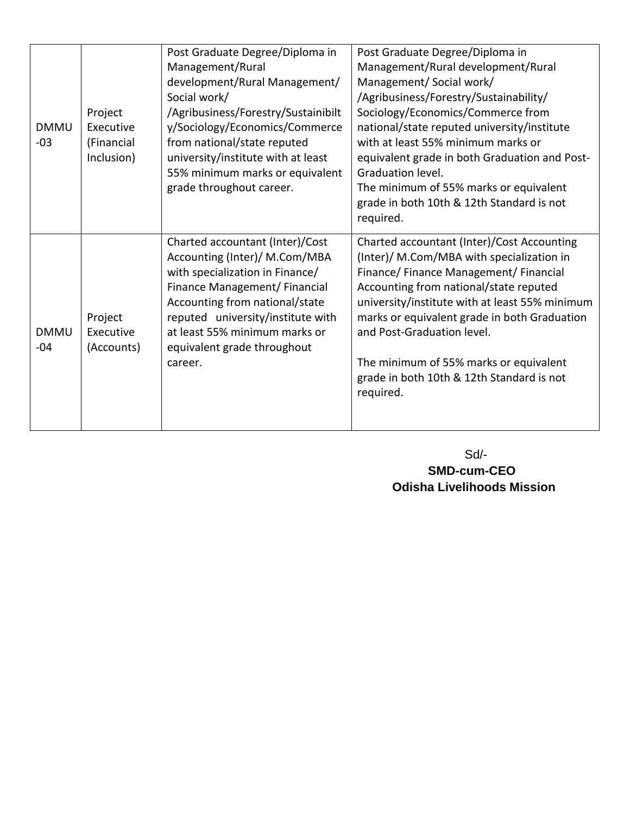| <b>DMMU</b><br>$-03$ | Project<br>Executive<br>(Financial<br>Inclusion) | Post Graduate Degree/Diploma in<br>Management/Rural<br>development/Rural Management/<br>Social work/<br>/Agribusiness/Forestry/Sustainibilt<br>y/Sociology/Economics/Commerce<br>from national/state reputed<br>university/institute with at least<br>55% minimum marks or equivalent<br>grade throughout career. | Post Graduate Degree/Diploma in<br>Management/Rural development/Rural<br>Management/Social work/<br>/Agribusiness/Forestry/Sustainability/<br>Sociology/Economics/Commerce from<br>national/state reputed university/institute<br>with at least 55% minimum marks or<br>equivalent grade in both Graduation and Post-<br>Graduation level.<br>The minimum of 55% marks or equivalent<br>grade in both 10th & 12th Standard is not<br>required. |
|----------------------|--------------------------------------------------|-------------------------------------------------------------------------------------------------------------------------------------------------------------------------------------------------------------------------------------------------------------------------------------------------------------------|------------------------------------------------------------------------------------------------------------------------------------------------------------------------------------------------------------------------------------------------------------------------------------------------------------------------------------------------------------------------------------------------------------------------------------------------|
| <b>DMMU</b><br>$-04$ | Project<br>Executive<br>(Accounts)               | Charted accountant (Inter)/Cost<br>Accounting (Inter)/ M.Com/MBA<br>with specialization in Finance/<br>Finance Management/ Financial<br>Accounting from national/state<br>reputed university/institute with<br>at least 55% minimum marks or<br>equivalent grade throughout<br>career.                            | Charted accountant (Inter)/Cost Accounting<br>(Inter)/ M.Com/MBA with specialization in<br>Finance/Finance Management/Financial<br>Accounting from national/state reputed<br>university/institute with at least 55% minimum<br>marks or equivalent grade in both Graduation<br>and Post-Graduation level.<br>The minimum of 55% marks or equivalent<br>grade in both 10th & 12th Standard is not<br>required.                                  |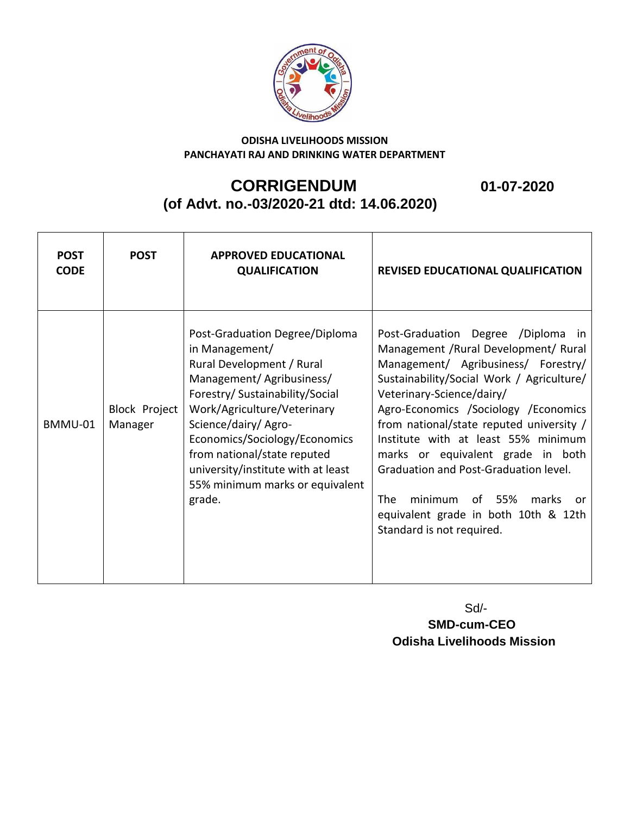

## **CORRIGENDUM 01-07-2020 (of Advt. no.-03/2020-21 dtd: 14.06.2020)**

**POST CODE POST APPROVED EDUCATIONAL QUALIFICATION REVISED EDUCATIONAL QUALIFICATION** BMMU-01 Block Project Manager Post-Graduation Degree/Diploma in Management/ Rural Development / Rural Management/ Agribusiness/ Forestry/ Sustainability/Social Work/Agriculture/Veterinary Science/dairy/ Agro-Economics/Sociology/Economics from national/state reputed university/institute with at least 55% minimum marks or equivalent grade. Post-Graduation Degree /Diploma in Management /Rural Development/ Rural Management/ Agribusiness/ Forestry/ Sustainability/Social Work / Agriculture/ Veterinary-Science/dairy/ Agro-Economics /Sociology /Economics from national/state reputed university / Institute with at least 55% minimum marks or equivalent grade in both Graduation and Post-Graduation level. The minimum of 55% marks or equivalent grade in both 10th & 12th Standard is not required.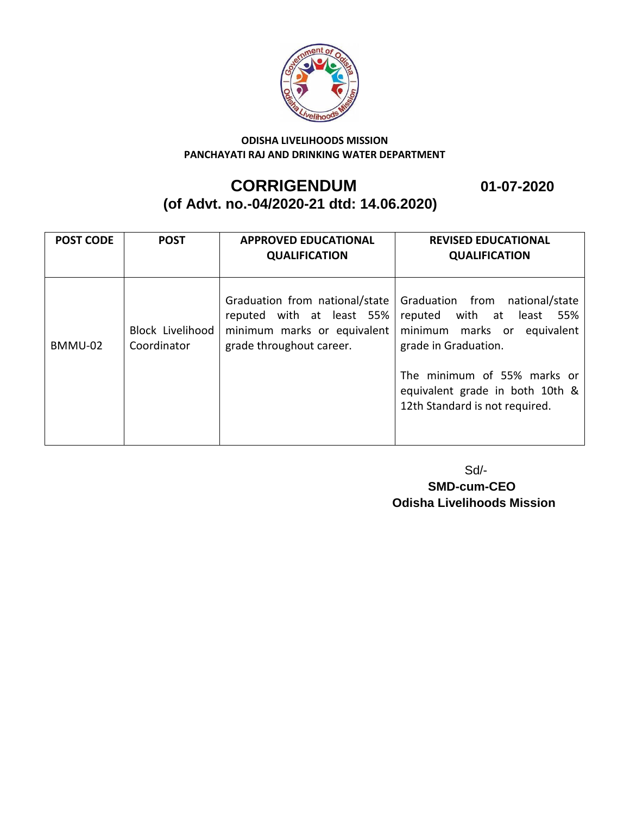

### **CORRIGENDUM 01-07-2020 (of Advt. no.-04/2020-21 dtd: 14.06.2020)**

Т **REVISED EDUCATIONAL** 

| <b>POST CODE</b> | <b>POST</b>                            | <b>APPROVED EDUCATIONAL</b><br><b>QUALIFICATION</b>                                                                    | <b>REVISED EDUCATIONAL</b><br><b>QUALIFICATION</b>                                                                                                   |
|------------------|----------------------------------------|------------------------------------------------------------------------------------------------------------------------|------------------------------------------------------------------------------------------------------------------------------------------------------|
| BMMU-02          | <b>Block Livelihood</b><br>Coordinator | Graduation from national/state<br>reputed with at least 55%<br>minimum marks or equivalent<br>grade throughout career. | Graduation from national/state<br>least 55%<br>reputed with at<br>minimum marks or equivalent<br>grade in Graduation.<br>The minimum of 55% marks or |
|                  |                                        |                                                                                                                        | equivalent grade in both 10th &<br>12th Standard is not required.                                                                                    |